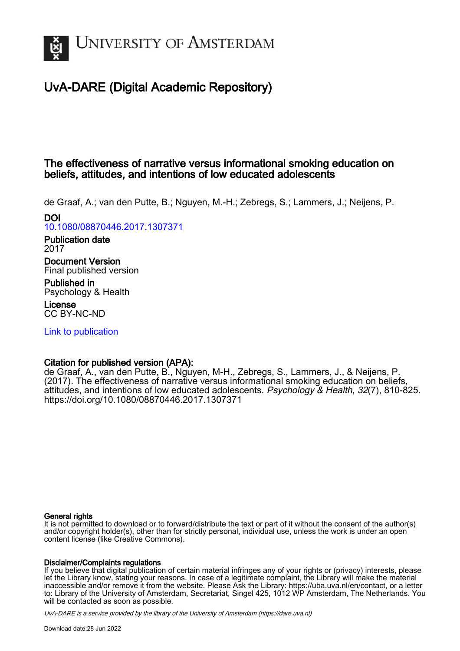

# UvA-DARE (Digital Academic Repository)

# The effectiveness of narrative versus informational smoking education on beliefs, attitudes, and intentions of low educated adolescents

de Graaf, A.; van den Putte, B.; Nguyen, M.-H.; Zebregs, S.; Lammers, J.; Neijens, P. DOI

[10.1080/08870446.2017.1307371](https://doi.org/10.1080/08870446.2017.1307371)

Publication date 2017

Document Version Final published version

Published in Psychology & Health

License CC BY-NC-ND

[Link to publication](https://dare.uva.nl/personal/pure/en/publications/the-effectiveness-of-narrative-versus-informational-smoking-education-on-beliefs-attitudes-and-intentions-of-low-educated-adolescents(1cf62d43-bb4a-48c9-a5e6-29d472933d0f).html)

# Citation for published version (APA):

de Graaf, A., van den Putte, B., Nguyen, M-H., Zebregs, S., Lammers, J., & Neijens, P. (2017). The effectiveness of narrative versus informational smoking education on beliefs, attitudes, and intentions of low educated adolescents. Psychology & Health, 32(7), 810-825. <https://doi.org/10.1080/08870446.2017.1307371>

# General rights

It is not permitted to download or to forward/distribute the text or part of it without the consent of the author(s) and/or copyright holder(s), other than for strictly personal, individual use, unless the work is under an open content license (like Creative Commons).

# Disclaimer/Complaints regulations

If you believe that digital publication of certain material infringes any of your rights or (privacy) interests, please let the Library know, stating your reasons. In case of a legitimate complaint, the Library will make the material inaccessible and/or remove it from the website. Please Ask the Library: https://uba.uva.nl/en/contact, or a letter to: Library of the University of Amsterdam, Secretariat, Singel 425, 1012 WP Amsterdam, The Netherlands. You will be contacted as soon as possible.

UvA-DARE is a service provided by the library of the University of Amsterdam (http*s*://dare.uva.nl)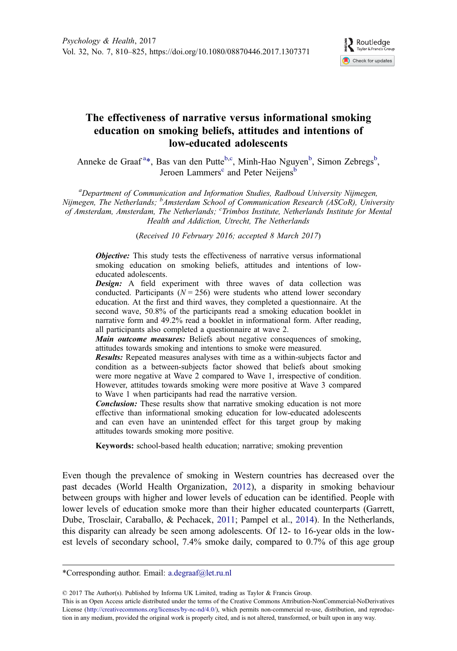

# <span id="page-1-0"></span>The effectiveness of narrative versus informational smoking education on smoking beliefs, attitudes and intentions of low-educated adolescents

Anneke de Graaf<sup>a\*</sup>, Bas van den Putte<sup>b,c</sup>, Minh-Hao Nguyen<sup>b</sup>, Simon Zebregs<sup>b</sup>, Jeroen Lammers<sup>c</sup> and Peter Neijens<sup>b</sup>

<sup>a</sup>Department of Communication and Information Studies, Radboud University Nijmegen, Nijmegen, The Netherlands; <sup>b</sup>Amsterdam School of Communication Research (ASCoR), University of Amsterdam, Amsterdam, The Netherlands; <sup>c</sup>Trimbos Institute, Netherlands Institute for Mental Health and Addiction, Utrecht, The Netherlands

(Received 10 February 2016; accepted 8 March 2017)

**Objective:** This study tests the effectiveness of narrative versus informational smoking education on smoking beliefs, attitudes and intentions of loweducated adolescents.

Design: A field experiment with three waves of data collection was conducted. Participants ( $N = 256$ ) were students who attend lower secondary education. At the first and third waves, they completed a questionnaire. At the second wave, 50.8% of the participants read a smoking education booklet in narrative form and 49.2% read a booklet in informational form. After reading, all participants also completed a questionnaire at wave 2.

Main outcome measures: Beliefs about negative consequences of smoking, attitudes towards smoking and intentions to smoke were measured.

Results: Repeated measures analyses with time as a within-subjects factor and condition as a between-subjects factor showed that beliefs about smoking were more negative at Wave 2 compared to Wave 1, irrespective of condition. However, attitudes towards smoking were more positive at Wave 3 compared to Wave 1 when participants had read the narrative version.

**Conclusion:** These results show that narrative smoking education is not more effective than informational smoking education for low-educated adolescents and can even have an unintended effect for this target group by making attitudes towards smoking more positive.

Keywords: school-based health education; narrative; smoking prevention

Even though the prevalence of smoking in Western countries has decreased over the past decades (World Health Organization, [2012](#page-16-0)), a disparity in smoking behaviour between groups with higher and lower levels of education can be identified. People with lower levels of education smoke more than their higher educated counterparts (Garrett, Dube, Trosclair, Caraballo, & Pechacek, [2011;](#page-14-0) Pampel et al., [2014](#page-15-0)). In the Netherlands, this disparity can already be seen among adolescents. Of 12- to 16-year olds in the lowest levels of secondary school, 7.4% smoke daily, compared to 0.7% of this age group

<sup>\*</sup>Corresponding author. Email: [a.degraaf@let.ru.nl](mailto:a.degraaf@let.ru.nl)

<sup>© 2017</sup> The Author(s). Published by Informa UK Limited, trading as Taylor & Francis Group.

This is an Open Access article distributed under the terms of the Creative Commons Attribution-NonCommercial-NoDerivatives License [\(http://creativecommons.org/licenses/by-nc-nd/4.0/](http://creativecommons.org/licenses/by-nc-nd/4.0/)), which permits non-commercial re-use, distribution, and reproduction in any medium, provided the original work is properly cited, and is not altered, transformed, or built upon in any way.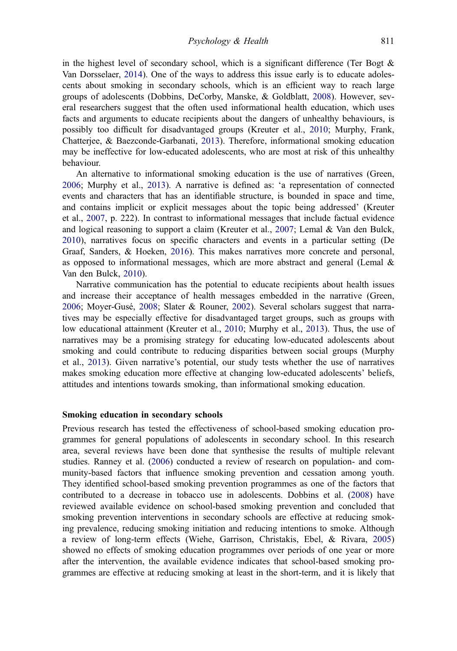<span id="page-2-0"></span>in the highest level of secondary school, which is a significant difference (Ter Bogt  $\&$ Van Dorsselaer, [2014\)](#page-16-0). One of the ways to address this issue early is to educate adolescents about smoking in secondary schools, which is an efficient way to reach large groups of adolescents (Dobbins, DeCorby, Manske, & Goldblatt, [2008\)](#page-14-0). However, several researchers suggest that the often used informational health education, which uses facts and arguments to educate recipients about the dangers of unhealthy behaviours, is possibly too difficult for disadvantaged groups (Kreuter et al., [2010](#page-14-0); Murphy, Frank, Chatterjee, & Baezconde-Garbanati, [2013](#page-15-0)). Therefore, informational smoking education may be ineffective for low-educated adolescents, who are most at risk of this unhealthy behaviour.

An alternative to informational smoking education is the use of narratives (Green, [2006](#page-14-0); Murphy et al., [2013](#page-15-0)). A narrative is defined as: 'a representation of connected events and characters that has an identifiable structure, is bounded in space and time, and contains implicit or explicit messages about the topic being addressed' (Kreuter et al., [2007](#page-14-0), p. 222). In contrast to informational messages that include factual evidence and logical reasoning to support a claim (Kreuter et al., [2007](#page-14-0); Lemal & Van den Bulck, [2010](#page-15-0)), narratives focus on specific characters and events in a particular setting (De Graaf, Sanders, & Hoeken, [2016](#page-14-0)). This makes narratives more concrete and personal, as opposed to informational messages, which are more abstract and general (Lemal  $\&$ Van den Bulck, [2010](#page-15-0)).

Narrative communication has the potential to educate recipients about health issues and increase their acceptance of health messages embedded in the narrative (Green, [2006](#page-14-0); Moyer-Gusé, [2008](#page-15-0); Slater & Rouner, [2002\)](#page-15-0). Several scholars suggest that narratives may be especially effective for disadvantaged target groups, such as groups with low educational attainment (Kreuter et al., [2010;](#page-14-0) Murphy et al., [2013](#page-15-0)). Thus, the use of narratives may be a promising strategy for educating low-educated adolescents about smoking and could contribute to reducing disparities between social groups (Murphy et al., [2013\)](#page-15-0). Given narrative's potential, our study tests whether the use of narratives makes smoking education more effective at changing low-educated adolescents' beliefs, attitudes and intentions towards smoking, than informational smoking education.

#### Smoking education in secondary schools

Previous research has tested the effectiveness of school-based smoking education programmes for general populations of adolescents in secondary school. In this research area, several reviews have been done that synthesise the results of multiple relevant studies. Ranney et al. ([2006](#page-15-0)) conducted a review of research on population- and community-based factors that influence smoking prevention and cessation among youth. They identified school-based smoking prevention programmes as one of the factors that contributed to a decrease in tobacco use in adolescents. Dobbins et al. [\(2008](#page-14-0)) have reviewed available evidence on school-based smoking prevention and concluded that smoking prevention interventions in secondary schools are effective at reducing smoking prevalence, reducing smoking initiation and reducing intentions to smoke. Although a review of long-term effects (Wiehe, Garrison, Christakis, Ebel, & Rivara, [2005\)](#page-16-0) showed no effects of smoking education programmes over periods of one year or more after the intervention, the available evidence indicates that school-based smoking programmes are effective at reducing smoking at least in the short-term, and it is likely that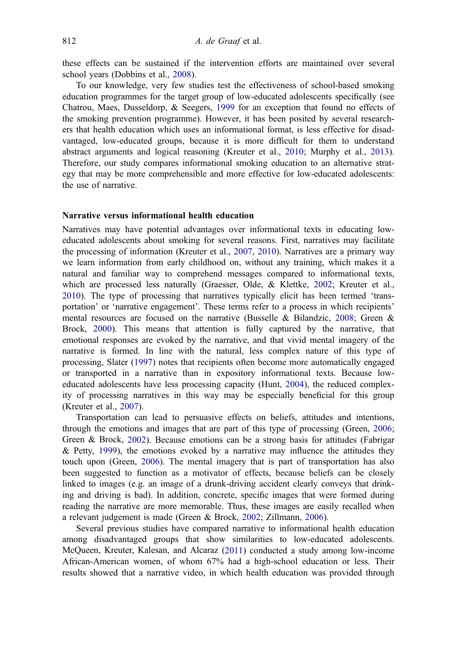<span id="page-3-0"></span>these effects can be sustained if the intervention efforts are maintained over several school years (Dobbins et al., [2008\)](#page-14-0).

To our knowledge, very few studies test the effectiveness of school-based smoking education programmes for the target group of low-educated adolescents specifically (see Chatrou, Maes, Dusseldorp, & Seegers, [1999](#page-14-0) for an exception that found no effects of the smoking prevention programme). However, it has been posited by several researchers that health education which uses an informational format, is less effective for disadvantaged, low-educated groups, because it is more difficult for them to understand abstract arguments and logical reasoning (Kreuter et al., [2010;](#page-14-0) Murphy et al., [2013](#page-15-0)). Therefore, our study compares informational smoking education to an alternative strategy that may be more comprehensible and more effective for low-educated adolescents: the use of narrative.

# Narrative versus informational health education

Narratives may have potential advantages over informational texts in educating loweducated adolescents about smoking for several reasons. First, narratives may facilitate the processing of information (Kreuter et al., [2007](#page-14-0), [2010](#page-14-0)). Narratives are a primary way we learn information from early childhood on, without any training, which makes it a natural and familiar way to comprehend messages compared to informational texts, which are processed less naturally (Graesser, Olde, & Klettke, [2002;](#page-14-0) Kreuter et al., [2010](#page-14-0)). The type of processing that narratives typically elicit has been termed 'transportation' or 'narrative engagement'. These terms refer to a process in which recipients' mental resources are focused on the narrative (Busselle & Bilandzic, [2008](#page-14-0); Green & Brock, [2000\)](#page-14-0). This means that attention is fully captured by the narrative, that emotional responses are evoked by the narrative, and that vivid mental imagery of the narrative is formed. In line with the natural, less complex nature of this type of processing, Slater ([1997\)](#page-15-0) notes that recipients often become more automatically engaged or transported in a narrative than in expository informational texts. Because loweducated adolescents have less processing capacity (Hunt, [2004](#page-14-0)), the reduced complexity of processing narratives in this way may be especially beneficial for this group (Kreuter et al., [2007\)](#page-14-0).

Transportation can lead to persuasive effects on beliefs, attitudes and intentions, through the emotions and images that are part of this type of processing (Green, [2006](#page-14-0); Green & Brock, [2002\)](#page-14-0). Because emotions can be a strong basis for attitudes (Fabrigar  $&$  Petty, [1999](#page-14-0)), the emotions evoked by a narrative may influence the attitudes they touch upon (Green, [2006](#page-14-0)). The mental imagery that is part of transportation has also been suggested to function as a motivator of effects, because beliefs can be closely linked to images (e.g. an image of a drunk-driving accident clearly conveys that drinking and driving is bad). In addition, concrete, specific images that were formed during reading the narrative are more memorable. Thus, these images are easily recalled when a relevant judgement is made (Green & Brock, [2002](#page-14-0); Zillmann, [2006](#page-16-0)).

Several previous studies have compared narrative to informational health education among disadvantaged groups that show similarities to low-educated adolescents. McQueen, Kreuter, Kalesan, and Alcaraz ([2011\)](#page-15-0) conducted a study among low-income African-American women, of whom 67% had a high-school education or less. Their results showed that a narrative video, in which health education was provided through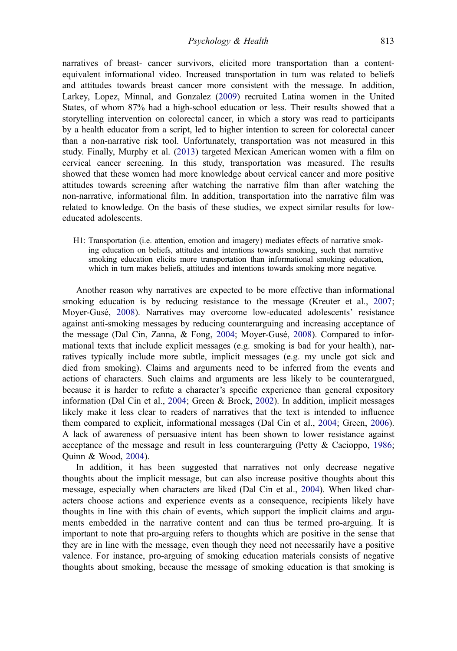<span id="page-4-0"></span>narratives of breast- cancer survivors, elicited more transportation than a contentequivalent informational video. Increased transportation in turn was related to beliefs and attitudes towards breast cancer more consistent with the message. In addition, Larkey, Lopez, Minnal, and Gonzalez ([2009\)](#page-15-0) recruited Latina women in the United States, of whom 87% had a high-school education or less. Their results showed that a storytelling intervention on colorectal cancer, in which a story was read to participants by a health educator from a script, led to higher intention to screen for colorectal cancer than a non-narrative risk tool. Unfortunately, transportation was not measured in this study. Finally, Murphy et al. ([2013\)](#page-15-0) targeted Mexican American women with a film on cervical cancer screening. In this study, transportation was measured. The results showed that these women had more knowledge about cervical cancer and more positive attitudes towards screening after watching the narrative film than after watching the non-narrative, informational film. In addition, transportation into the narrative film was related to knowledge. On the basis of these studies, we expect similar results for loweducated adolescents.

H1: Transportation (i.e. attention, emotion and imagery) mediates effects of narrative smoking education on beliefs, attitudes and intentions towards smoking, such that narrative smoking education elicits more transportation than informational smoking education, which in turn makes beliefs, attitudes and intentions towards smoking more negative.

Another reason why narratives are expected to be more effective than informational smoking education is by reducing resistance to the message (Kreuter et al., [2007](#page-14-0); Moyer-Gusé, [2008\)](#page-15-0). Narratives may overcome low-educated adolescents' resistance against anti-smoking messages by reducing counterarguing and increasing acceptance of the message (Dal Cin, Zanna, & Fong, [2004;](#page-14-0) Moyer-Gusé, [2008\)](#page-15-0). Compared to informational texts that include explicit messages (e.g. smoking is bad for your health), narratives typically include more subtle, implicit messages (e.g. my uncle got sick and died from smoking). Claims and arguments need to be inferred from the events and actions of characters. Such claims and arguments are less likely to be counterargued, because it is harder to refute a character's specific experience than general expository information (Dal Cin et al., [2004](#page-14-0); Green & Brock, [2002\)](#page-14-0). In addition, implicit messages likely make it less clear to readers of narratives that the text is intended to influence them compared to explicit, informational messages (Dal Cin et al., [2004;](#page-14-0) Green, [2006](#page-14-0)). A lack of awareness of persuasive intent has been shown to lower resistance against acceptance of the message and result in less counterarguing (Petty & Cacioppo, [1986](#page-15-0); Quinn & Wood, [2004\)](#page-16-0).

In addition, it has been suggested that narratives not only decrease negative thoughts about the implicit message, but can also increase positive thoughts about this message, especially when characters are liked (Dal Cin et al., [2004](#page-14-0)). When liked characters choose actions and experience events as a consequence, recipients likely have thoughts in line with this chain of events, which support the implicit claims and arguments embedded in the narrative content and can thus be termed pro-arguing. It is important to note that pro-arguing refers to thoughts which are positive in the sense that they are in line with the message, even though they need not necessarily have a positive valence. For instance, pro-arguing of smoking education materials consists of negative thoughts about smoking, because the message of smoking education is that smoking is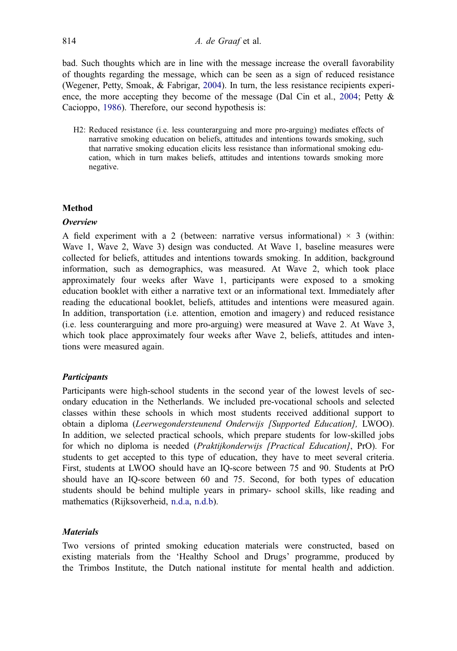<span id="page-5-0"></span>bad. Such thoughts which are in line with the message increase the overall favorability of thoughts regarding the message, which can be seen as a sign of reduced resistance (Wegener, Petty, Smoak, & Fabrigar, [2004](#page-16-0)). In turn, the less resistance recipients experi-ence, the more accepting they become of the message (Dal Cin et al., [2004;](#page-14-0) Petty  $\&$ Cacioppo, [1986](#page-15-0)). Therefore, our second hypothesis is:

H2: Reduced resistance (i.e. less counterarguing and more pro-arguing) mediates effects of narrative smoking education on beliefs, attitudes and intentions towards smoking, such that narrative smoking education elicits less resistance than informational smoking education, which in turn makes beliefs, attitudes and intentions towards smoking more negative.

# Method

# **Overview**

A field experiment with a 2 (between: narrative versus informational)  $\times$  3 (within: Wave 1, Wave 2, Wave 3) design was conducted. At Wave 1, baseline measures were collected for beliefs, attitudes and intentions towards smoking. In addition, background information, such as demographics, was measured. At Wave 2, which took place approximately four weeks after Wave 1, participants were exposed to a smoking education booklet with either a narrative text or an informational text. Immediately after reading the educational booklet, beliefs, attitudes and intentions were measured again. In addition, transportation (i.e. attention, emotion and imagery) and reduced resistance (i.e. less counterarguing and more pro-arguing) were measured at Wave 2. At Wave 3, which took place approximately four weeks after Wave 2, beliefs, attitudes and intentions were measured again.

# **Participants**

Participants were high-school students in the second year of the lowest levels of secondary education in the Netherlands. We included pre-vocational schools and selected classes within these schools in which most students received additional support to obtain a diploma (Leerwegondersteunend Onderwijs [Supported Education], LWOO). In addition, we selected practical schools, which prepare students for low-skilled jobs for which no diploma is needed (Praktijkonderwijs [Practical Education], PrO). For students to get accepted to this type of education, they have to meet several criteria. First, students at LWOO should have an IQ-score between 75 and 90. Students at PrO should have an IQ-score between 60 and 75. Second, for both types of education students should be behind multiple years in primary- school skills, like reading and mathematics (Rijksoverheid, [n.d.a](#page-15-0), [n.d.b](#page-15-0)).

# **Materials**

Two versions of printed smoking education materials were constructed, based on existing materials from the 'Healthy School and Drugs' programme, produced by the Trimbos Institute, the Dutch national institute for mental health and addiction.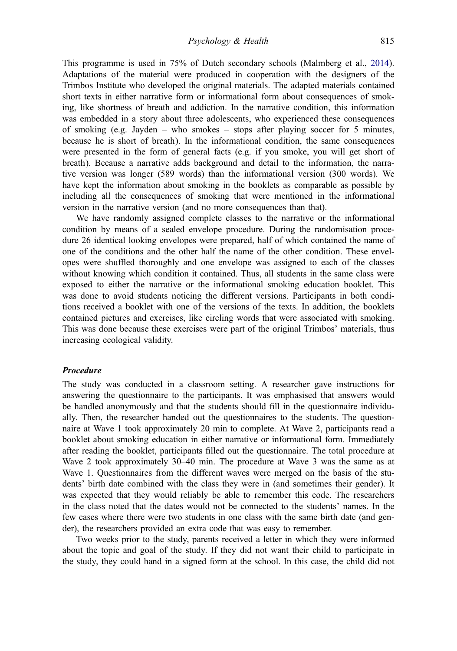<span id="page-6-0"></span>This programme is used in 75% of Dutch secondary schools (Malmberg et al., [2014](#page-15-0)). Adaptations of the material were produced in cooperation with the designers of the Trimbos Institute who developed the original materials. The adapted materials contained short texts in either narrative form or informational form about consequences of smoking, like shortness of breath and addiction. In the narrative condition, this information was embedded in a story about three adolescents, who experienced these consequences of smoking (e.g. Jayden – who smokes – stops after playing soccer for 5 minutes, because he is short of breath). In the informational condition, the same consequences were presented in the form of general facts (e.g. if you smoke, you will get short of breath). Because a narrative adds background and detail to the information, the narrative version was longer (589 words) than the informational version (300 words). We have kept the information about smoking in the booklets as comparable as possible by including all the consequences of smoking that were mentioned in the informational version in the narrative version (and no more consequences than that).

We have randomly assigned complete classes to the narrative or the informational condition by means of a sealed envelope procedure. During the randomisation procedure 26 identical looking envelopes were prepared, half of which contained the name of one of the conditions and the other half the name of the other condition. These envelopes were shuffled thoroughly and one envelope was assigned to each of the classes without knowing which condition it contained. Thus, all students in the same class were exposed to either the narrative or the informational smoking education booklet. This was done to avoid students noticing the different versions. Participants in both conditions received a booklet with one of the versions of the texts. In addition, the booklets contained pictures and exercises, like circling words that were associated with smoking. This was done because these exercises were part of the original Trimbos' materials, thus increasing ecological validity.

#### Procedure

The study was conducted in a classroom setting. A researcher gave instructions for answering the questionnaire to the participants. It was emphasised that answers would be handled anonymously and that the students should fill in the questionnaire individually. Then, the researcher handed out the questionnaires to the students. The questionnaire at Wave 1 took approximately 20 min to complete. At Wave 2, participants read a booklet about smoking education in either narrative or informational form. Immediately after reading the booklet, participants filled out the questionnaire. The total procedure at Wave 2 took approximately 30–40 min. The procedure at Wave 3 was the same as at Wave 1. Questionnaires from the different waves were merged on the basis of the students' birth date combined with the class they were in (and sometimes their gender). It was expected that they would reliably be able to remember this code. The researchers in the class noted that the dates would not be connected to the students' names. In the few cases where there were two students in one class with the same birth date (and gender), the researchers provided an extra code that was easy to remember.

Two weeks prior to the study, parents received a letter in which they were informed about the topic and goal of the study. If they did not want their child to participate in the study, they could hand in a signed form at the school. In this case, the child did not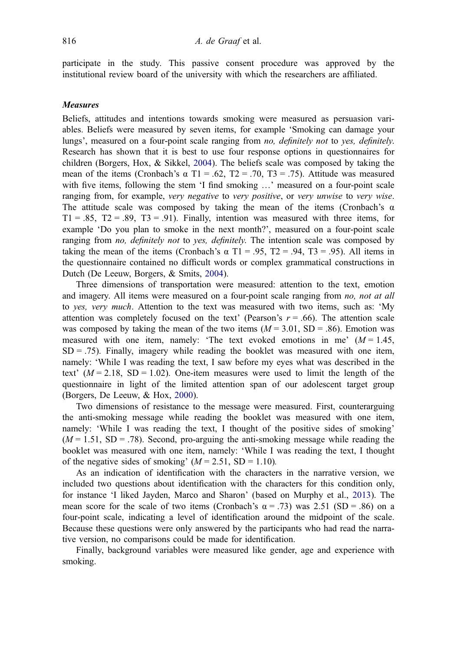<span id="page-7-0"></span>participate in the study. This passive consent procedure was approved by the institutional review board of the university with which the researchers are affiliated.

#### **Measures**

Beliefs, attitudes and intentions towards smoking were measured as persuasion variables. Beliefs were measured by seven items, for example 'Smoking can damage your lungs', measured on a four-point scale ranging from no, definitely not to yes, definitely. Research has shown that it is best to use four response options in questionnaires for children (Borgers, Hox, & Sikkel, [2004\)](#page-13-0). The beliefs scale was composed by taking the mean of the items (Cronbach's  $\alpha$  T1 = .62, T2 = .70, T3 = .75). Attitude was measured with five items, following the stem 'I find smoking ...' measured on a four-point scale ranging from, for example, very negative to very positive, or very unwise to very wise. The attitude scale was composed by taking the mean of the items (Cronbach's  $\alpha$ )  $T1 = .85$ ,  $T2 = .89$ ,  $T3 = .91$ ). Finally, intention was measured with three items, for example 'Do you plan to smoke in the next month?', measured on a four-point scale ranging from *no*, *definitely not* to *yes, definitely*. The intention scale was composed by taking the mean of the items (Cronbach's  $\alpha$  T1 = .95, T2 = .94, T3 = .95). All items in the questionnaire contained no difficult words or complex grammatical constructions in Dutch (De Leeuw, Borgers, & Smits, [2004](#page-14-0)).

Three dimensions of transportation were measured: attention to the text, emotion and imagery. All items were measured on a four-point scale ranging from no, not at all to yes, very much. Attention to the text was measured with two items, such as: 'My attention was completely focused on the text' (Pearson's  $r = .66$ ). The attention scale was composed by taking the mean of the two items  $(M = 3.01, SD = .86)$ . Emotion was measured with one item, namely: 'The text evoked emotions in me'  $(M = 1.45$ ,  $SD = .75$ ). Finally, imagery while reading the booklet was measured with one item, namely: 'While I was reading the text, I saw before my eyes what was described in the text'  $(M = 2.18, SD = 1.02)$ . One-item measures were used to limit the length of the questionnaire in light of the limited attention span of our adolescent target group (Borgers, De Leeuw, & Hox, [2000](#page-14-0)).

Two dimensions of resistance to the message were measured. First, counterarguing the anti-smoking message while reading the booklet was measured with one item, namely: 'While I was reading the text, I thought of the positive sides of smoking'  $(M = 1.51, SD = .78)$ . Second, pro-arguing the anti-smoking message while reading the booklet was measured with one item, namely: 'While I was reading the text, I thought of the negative sides of smoking'  $(M = 2.51, SD = 1.10)$ .

As an indication of identification with the characters in the narrative version, we included two questions about identification with the characters for this condition only, for instance 'I liked Jayden, Marco and Sharon' (based on Murphy et al., [2013\)](#page-15-0). The mean score for the scale of two items (Cronbach's  $\alpha$  = .73) was 2.51 (SD = .86) on a four-point scale, indicating a level of identification around the midpoint of the scale. Because these questions were only answered by the participants who had read the narrative version, no comparisons could be made for identification.

Finally, background variables were measured like gender, age and experience with smoking.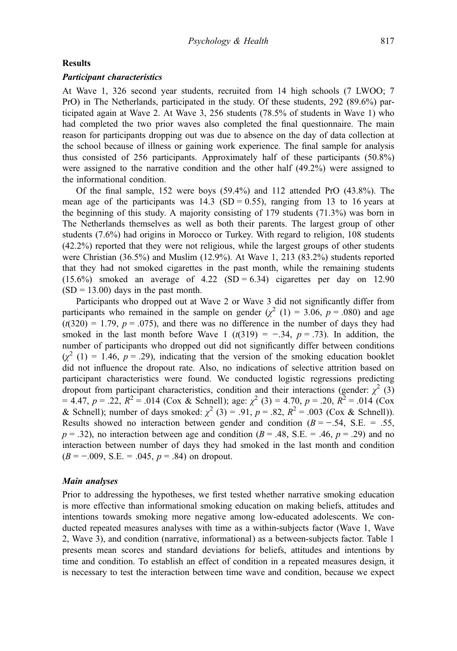# Results

### Participant characteristics

At Wave 1, 326 second year students, recruited from 14 high schools (7 LWOO; 7 PrO) in The Netherlands, participated in the study. Of these students, 292 (89.6%) participated again at Wave 2. At Wave 3, 256 students (78.5% of students in Wave 1) who had completed the two prior waves also completed the final questionnaire. The main reason for participants dropping out was due to absence on the day of data collection at the school because of illness or gaining work experience. The final sample for analysis thus consisted of 256 participants. Approximately half of these participants (50.8%) were assigned to the narrative condition and the other half (49.2%) were assigned to the informational condition.

Of the final sample, 152 were boys (59.4%) and 112 attended PrO (43.8%). The mean age of the participants was  $14.3$  (SD = 0.55), ranging from 13 to 16 years at the beginning of this study. A majority consisting of 179 students (71.3%) was born in The Netherlands themselves as well as both their parents. The largest group of other students (7.6%) had origins in Morocco or Turkey. With regard to religion, 108 students (42.2%) reported that they were not religious, while the largest groups of other students were Christian (36.5%) and Muslim (12.9%). At Wave 1, 213 (83.2%) students reported that they had not smoked cigarettes in the past month, while the remaining students  $(15.6\%)$  smoked an average of 4.22 (SD = 6.34) cigarettes per day on 12.90  $(SD = 13.00)$  days in the past month.

Participants who dropped out at Wave 2 or Wave 3 did not significantly differ from participants who remained in the sample on gender  $(\chi^2(1) = 3.06, p = .080)$  and age  $(t(320) = 1.79, p = .075)$ , and there was no difference in the number of days they had smoked in the last month before Wave 1 (t(319) = −.34,  $p = .73$ ). In addition, the number of participants who dropped out did not significantly differ between conditions  $(\chi^2$  (1) = 1.46, p = .29), indicating that the version of the smoking education booklet did not influence the dropout rate. Also, no indications of selective attrition based on participant characteristics were found. We conducted logistic regressions predicting dropout from participant characteristics, condition and their interactions (gender:  $\chi^2$  (3)  $= 4.47, p = .22, R<sup>2</sup> = .014$  (Cox & Schnell); age:  $\chi^2$  (3) = 4.70, p = .20,  $\overline{R^2}$  = .014 (Cox & Schnell); number of days smoked:  $\chi^2$  (3) = .91,  $p = .82$ ,  $R^2 = .003$  (Cox & Schnell)). Results showed no interaction between gender and condition  $(B = -.54, S.E. = .55,$  $p = .32$ ), no interaction between age and condition ( $B = .48$ , S.E. = .46,  $p = .29$ ) and no interaction between number of days they had smoked in the last month and condition  $(B = -.009, S.E. = .045, p = .84)$  on dropout.

#### Main analyses

Prior to addressing the hypotheses, we first tested whether narrative smoking education is more effective than informational smoking education on making beliefs, attitudes and intentions towards smoking more negative among low-educated adolescents. We conducted repeated measures analyses with time as a within-subjects factor (Wave 1, Wave 2, Wave 3), and condition (narrative, informational) as a between-subjects factor. Table [1](#page-9-0) presents mean scores and standard deviations for beliefs, attitudes and intentions by time and condition. To establish an effect of condition in a repeated measures design, it is necessary to test the interaction between time wave and condition, because we expect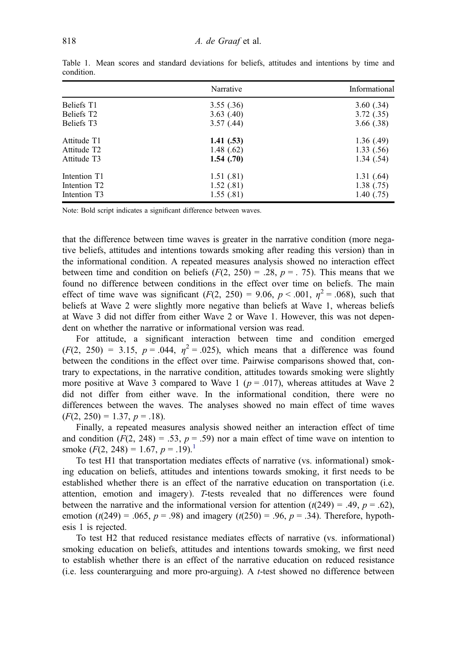|                          | Narrative    | Informational |
|--------------------------|--------------|---------------|
| Beliefs T1               | 3.55(.36)    | 3.60(.34)     |
| Beliefs T <sub>2</sub>   | 3.63(0.40)   | 3.72(0.35)    |
| Beliefs T <sub>3</sub>   | 3.57(0.44)   | 3.66(.38)     |
| Attitude T1              | 1.41(0.53)   | 1.36(0.49)    |
| Attitude T <sub>2</sub>  | 1.48 $(.62)$ | 1.33(0.56)    |
| Attitude T3              | 1.54(0.70)   | 1.34(0.54)    |
| Intention T1             | 1.51(0.81)   | 1.31(64)      |
| Intention T <sub>2</sub> | 1.52(0.81)   | 1.38(0.75)    |
| Intention T3             | 1.55(.81)    | 1.40(0.75)    |

<span id="page-9-0"></span>Table 1. Mean scores and standard deviations for beliefs, attitudes and intentions by time and condition.

Note: Bold script indicates a significant difference between waves.

that the difference between time waves is greater in the narrative condition (more negative beliefs, attitudes and intentions towards smoking after reading this version) than in the informational condition. A repeated measures analysis showed no interaction effect between time and condition on beliefs  $(F(2, 250) = .28, p = .75)$ . This means that we found no difference between conditions in the effect over time on beliefs. The main effect of time wave was significant  $(F(2, 250) = 9.06, p < .001, \eta^2 = .068)$ , such that beliefs at Wave 2 were slightly more negative than beliefs at Wave 1, whereas beliefs at Wave 3 did not differ from either Wave 2 or Wave 1. However, this was not dependent on whether the narrative or informational version was read.

For attitude, a significant interaction between time and condition emerged  $(F(2, 250) = 3.15, p = .044, \eta^2 = .025)$ , which means that a difference was found between the conditions in the effect over time. Pairwise comparisons showed that, contrary to expectations, in the narrative condition, attitudes towards smoking were slightly more positive at Wave 3 compared to Wave 1 ( $p = .017$ ), whereas attitudes at Wave 2 did not differ from either wave. In the informational condition, there were no differences between the waves. The analyses showed no main effect of time waves  $(F(2, 250) = 1.37, p = .18).$ 

Finally, a repeated measures analysis showed neither an interaction effect of time and condition  $(F(2, 248) = .53, p = .59)$  nor a main effect of time wave on intention to smoke  $(F(2, 248) = 1.67, p = .19).$  $(F(2, 248) = 1.67, p = .19).$  $(F(2, 248) = 1.67, p = .19).$ <sup>1</sup>

To test H1 that transportation mediates effects of narrative (vs. informational) smoking education on beliefs, attitudes and intentions towards smoking, it first needs to be established whether there is an effect of the narrative education on transportation (i.e. attention, emotion and imagery). T-tests revealed that no differences were found between the narrative and the informational version for attention  $(t(249) = .49, p = .62)$ , emotion ( $t(249) = .065$ ,  $p = .98$ ) and imagery ( $t(250) = .96$ ,  $p = .34$ ). Therefore, hypothesis 1 is rejected.

To test H2 that reduced resistance mediates effects of narrative (vs. informational) smoking education on beliefs, attitudes and intentions towards smoking, we first need to establish whether there is an effect of the narrative education on reduced resistance (i.e. less counterarguing and more pro-arguing). A t-test showed no difference between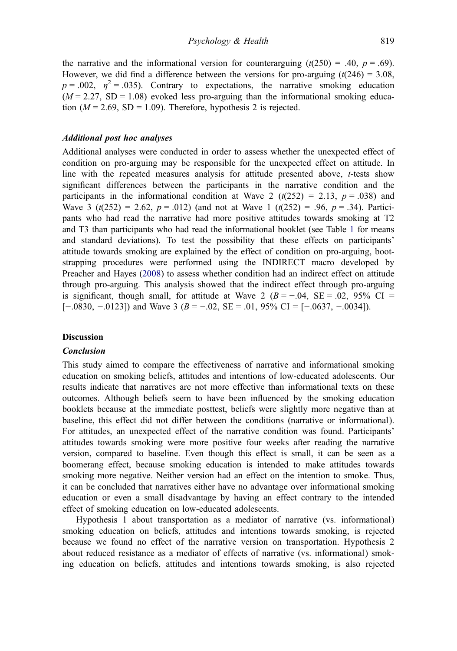<span id="page-10-0"></span>the narrative and the informational version for counterarguing ( $t(250) = .40$ ,  $p = .69$ ). However, we did find a difference between the versions for pro-arguing  $(t(246) = 3.08$ ,  $p = .002$ ,  $n^2 = .035$ ). Contrary to expectations, the narrative smoking education  $(M = 2.27, SD = 1.08)$  evoked less pro-arguing than the informational smoking education ( $M = 2.69$ , SD = 1.09). Therefore, hypothesis 2 is rejected.

# Additional post hoc analyses

Additional analyses were conducted in order to assess whether the unexpected effect of condition on pro-arguing may be responsible for the unexpected effect on attitude. In line with the repeated measures analysis for attitude presented above, t-tests show significant differences between the participants in the narrative condition and the participants in the informational condition at Wave 2 ( $t(252) = 2.13$ ,  $p = .038$ ) and Wave 3 (t(252) = 2.62,  $p = .012$ ) (and not at Wave 1 (t(252) = .96,  $p = .34$ ). Participants who had read the narrative had more positive attitudes towards smoking at T2 and T3 than participants who had read the informational booklet (see Table [1](#page-9-0) for means and standard deviations). To test the possibility that these effects on participants' attitude towards smoking are explained by the effect of condition on pro-arguing, bootstrapping procedures were performed using the INDIRECT macro developed by Preacher and Hayes ([2008\)](#page-15-0) to assess whether condition had an indirect effect on attitude through pro-arguing. This analysis showed that the indirect effect through pro-arguing is significant, though small, for attitude at Wave 2 ( $B = -0.04$ ,  $SE = 0.02$ , 95% CI =  $[-.0830, -.0123]$  and Wave 3  $(B = -.02, SE = .01, 95\% \text{ CI} = [-.0637, -.0034]$ .

#### **Discussion**

#### Conclusion

This study aimed to compare the effectiveness of narrative and informational smoking education on smoking beliefs, attitudes and intentions of low-educated adolescents. Our results indicate that narratives are not more effective than informational texts on these outcomes. Although beliefs seem to have been influenced by the smoking education booklets because at the immediate posttest, beliefs were slightly more negative than at baseline, this effect did not differ between the conditions (narrative or informational). For attitudes, an unexpected effect of the narrative condition was found. Participants' attitudes towards smoking were more positive four weeks after reading the narrative version, compared to baseline. Even though this effect is small, it can be seen as a boomerang effect, because smoking education is intended to make attitudes towards smoking more negative. Neither version had an effect on the intention to smoke. Thus, it can be concluded that narratives either have no advantage over informational smoking education or even a small disadvantage by having an effect contrary to the intended effect of smoking education on low-educated adolescents.

Hypothesis 1 about transportation as a mediator of narrative (vs. informational) smoking education on beliefs, attitudes and intentions towards smoking, is rejected because we found no effect of the narrative version on transportation. Hypothesis 2 about reduced resistance as a mediator of effects of narrative (vs. informational) smoking education on beliefs, attitudes and intentions towards smoking, is also rejected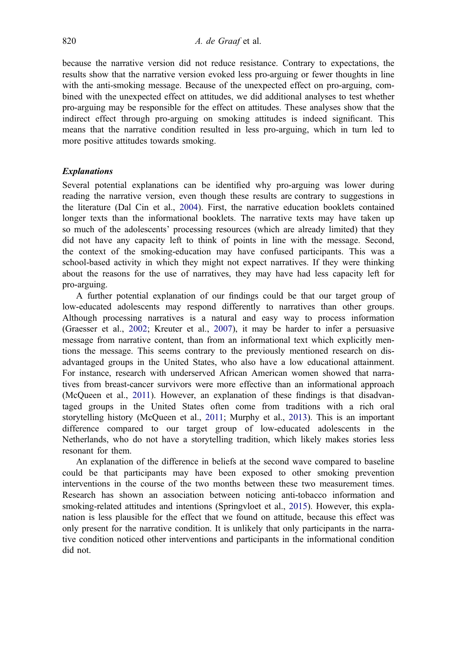<span id="page-11-0"></span>because the narrative version did not reduce resistance. Contrary to expectations, the results show that the narrative version evoked less pro-arguing or fewer thoughts in line with the anti-smoking message. Because of the unexpected effect on pro-arguing, combined with the unexpected effect on attitudes, we did additional analyses to test whether pro-arguing may be responsible for the effect on attitudes. These analyses show that the indirect effect through pro-arguing on smoking attitudes is indeed significant. This means that the narrative condition resulted in less pro-arguing, which in turn led to more positive attitudes towards smoking.

#### Explanations

Several potential explanations can be identified why pro-arguing was lower during reading the narrative version, even though these results are contrary to suggestions in the literature (Dal Cin et al., [2004\)](#page-14-0). First, the narrative education booklets contained longer texts than the informational booklets. The narrative texts may have taken up so much of the adolescents' processing resources (which are already limited) that they did not have any capacity left to think of points in line with the message. Second, the context of the smoking-education may have confused participants. This was a school-based activity in which they might not expect narratives. If they were thinking about the reasons for the use of narratives, they may have had less capacity left for pro-arguing.

A further potential explanation of our findings could be that our target group of low-educated adolescents may respond differently to narratives than other groups. Although processing narratives is a natural and easy way to process information (Graesser et al., [2002](#page-14-0); Kreuter et al., [2007\)](#page-14-0), it may be harder to infer a persuasive message from narrative content, than from an informational text which explicitly mentions the message. This seems contrary to the previously mentioned research on disadvantaged groups in the United States, who also have a low educational attainment. For instance, research with underserved African American women showed that narratives from breast-cancer survivors were more effective than an informational approach (McQueen et al., [2011\)](#page-15-0). However, an explanation of these findings is that disadvantaged groups in the United States often come from traditions with a rich oral storytelling history (McQueen et al., [2011](#page-15-0); Murphy et al., [2013\)](#page-15-0). This is an important difference compared to our target group of low-educated adolescents in the Netherlands, who do not have a storytelling tradition, which likely makes stories less resonant for them.

An explanation of the difference in beliefs at the second wave compared to baseline could be that participants may have been exposed to other smoking prevention interventions in the course of the two months between these two measurement times. Research has shown an association between noticing anti-tobacco information and smoking-related attitudes and intentions (Springvloet et al., [2015\)](#page-15-0). However, this explanation is less plausible for the effect that we found on attitude, because this effect was only present for the narrative condition. It is unlikely that only participants in the narrative condition noticed other interventions and participants in the informational condition did not.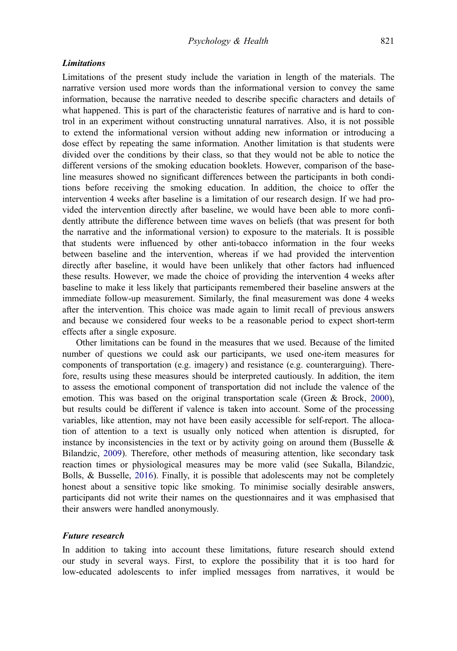# <span id="page-12-0"></span>**Limitations**

Limitations of the present study include the variation in length of the materials. The narrative version used more words than the informational version to convey the same information, because the narrative needed to describe specific characters and details of what happened. This is part of the characteristic features of narrative and is hard to control in an experiment without constructing unnatural narratives. Also, it is not possible to extend the informational version without adding new information or introducing a dose effect by repeating the same information. Another limitation is that students were divided over the conditions by their class, so that they would not be able to notice the different versions of the smoking education booklets. However, comparison of the baseline measures showed no significant differences between the participants in both conditions before receiving the smoking education. In addition, the choice to offer the intervention 4 weeks after baseline is a limitation of our research design. If we had provided the intervention directly after baseline, we would have been able to more confidently attribute the difference between time waves on beliefs (that was present for both the narrative and the informational version) to exposure to the materials. It is possible that students were influenced by other anti-tobacco information in the four weeks between baseline and the intervention, whereas if we had provided the intervention directly after baseline, it would have been unlikely that other factors had influenced these results. However, we made the choice of providing the intervention 4 weeks after baseline to make it less likely that participants remembered their baseline answers at the immediate follow-up measurement. Similarly, the final measurement was done 4 weeks after the intervention. This choice was made again to limit recall of previous answers and because we considered four weeks to be a reasonable period to expect short-term effects after a single exposure.

Other limitations can be found in the measures that we used. Because of the limited number of questions we could ask our participants, we used one-item measures for components of transportation (e.g. imagery) and resistance (e.g. counterarguing). Therefore, results using these measures should be interpreted cautiously. In addition, the item to assess the emotional component of transportation did not include the valence of the emotion. This was based on the original transportation scale (Green & Brock, [2000](#page-14-0)), but results could be different if valence is taken into account. Some of the processing variables, like attention, may not have been easily accessible for self-report. The allocation of attention to a text is usually only noticed when attention is disrupted, for instance by inconsistencies in the text or by activity going on around them (Busselle  $\&$ Bilandzic, [2009\)](#page-14-0). Therefore, other methods of measuring attention, like secondary task reaction times or physiological measures may be more valid (see Sukalla, Bilandzic, Bolls, & Busselle, [2016](#page-16-0)). Finally, it is possible that adolescents may not be completely honest about a sensitive topic like smoking. To minimise socially desirable answers, participants did not write their names on the questionnaires and it was emphasised that their answers were handled anonymously.

#### Future research

In addition to taking into account these limitations, future research should extend our study in several ways. First, to explore the possibility that it is too hard for low-educated adolescents to infer implied messages from narratives, it would be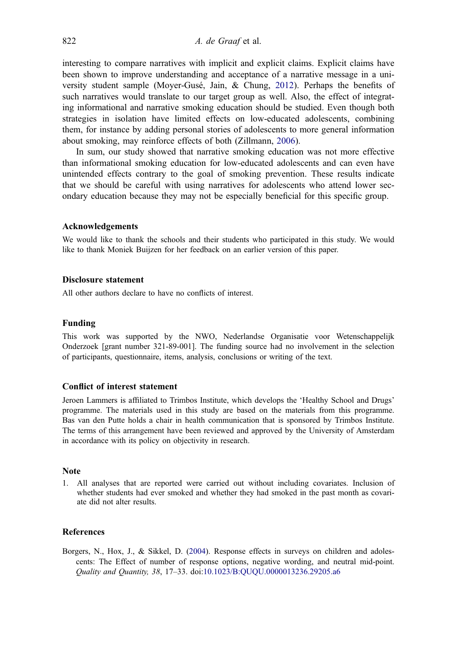<span id="page-13-0"></span>interesting to compare narratives with implicit and explicit claims. Explicit claims have been shown to improve understanding and acceptance of a narrative message in a university student sample (Moyer-Gusé, Jain, & Chung, [2012](#page-15-0)). Perhaps the benefits of such narratives would translate to our target group as well. Also, the effect of integrating informational and narrative smoking education should be studied. Even though both strategies in isolation have limited effects on low-educated adolescents, combining them, for instance by adding personal stories of adolescents to more general information about smoking, may reinforce effects of both (Zillmann, [2006\)](#page-16-0).

In sum, our study showed that narrative smoking education was not more effective than informational smoking education for low-educated adolescents and can even have unintended effects contrary to the goal of smoking prevention. These results indicate that we should be careful with using narratives for adolescents who attend lower secondary education because they may not be especially beneficial for this specific group.

#### Acknowledgements

We would like to thank the schools and their students who participated in this study. We would like to thank Moniek Buijzen for her feedback on an earlier version of this paper.

#### Disclosure statement

All other authors declare to have no conflicts of interest.

#### Funding

This work was supported by the NWO, Nederlandse Organisatie voor Wetenschappelijk Onderzoek [grant number 321-89-001]. The funding source had no involvement in the selection of participants, questionnaire, items, analysis, conclusions or writing of the text.

#### Conflict of interest statement

Jeroen Lammers is affiliated to Trimbos Institute, which develops the 'Healthy School and Drugs' programme. The materials used in this study are based on the materials from this programme. Bas van den Putte holds a chair in health communication that is sponsored by Trimbos Institute. The terms of this arrangement have been reviewed and approved by the University of Amsterdam in accordance with its policy on objectivity in research.

#### **Note**

1. All analyses that are reported were carried out without including covariates. Inclusion of whether students had ever smoked and whether they had smoked in the past month as covariate did not alter results.

#### **References**

Borgers, N., Hox, J., & Sikkel, D. [\(2004](#page-7-0)). Response effects in surveys on children and adolescents: The Effect of number of response options, negative wording, and neutral mid-point. Quality and Quantity, 38, 17–33. doi:[10.1023/B:QUQU.0000013236.29205.a6](https://doi.org/10.1023/B:QUQU.0000013236.29205.a6)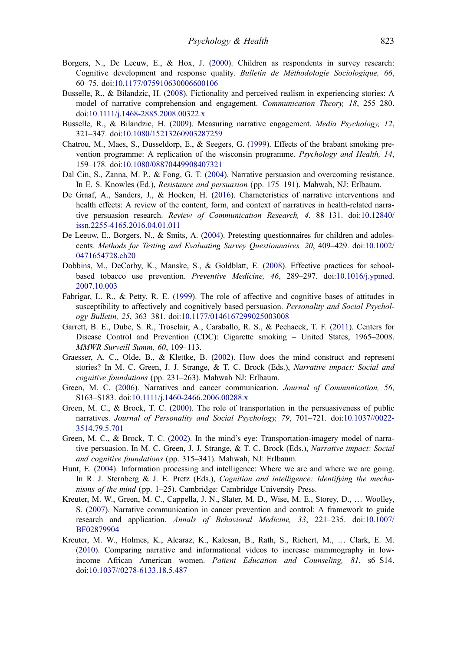- <span id="page-14-0"></span>Borgers, N., De Leeuw, E., & Hox, J. ([2000\)](#page-7-0). Children as respondents in survey research: Cognitive development and response quality. Bulletin de Méthodologie Sociologique, 66, 60–75. doi[:10.1177/075910630006600106](https://doi.org/10.1177/075910630006600106)
- Busselle, R., & Bilandzic, H. ([2008\)](#page-3-0). Fictionality and perceived realism in experiencing stories: A model of narrative comprehension and engagement. Communication Theory, 18, 255–280. doi:[10.1111/j.1468-2885.2008.00322.x](https://doi.org/10.1111/j.1468-2885.2008.00322.x)
- Busselle, R., & Bilandzic, H. [\(2009\)](#page-12-0). Measuring narrative engagement. *Media Psychology*, 12, 321–347. doi[:10.1080/15213260903287259](https://doi.org/10.1080/15213260903287259)
- Chatrou, M., Maes, S., Dusseldorp, E., & Seegers, G. ([1999\)](#page-3-0). Effects of the brabant smoking prevention programme: A replication of the wisconsin programme. Psychology and Health, 14, 159–178. doi[:10.1080/08870449908407321](https://doi.org/10.1080/08870449908407321)
- Dal Cin, S., Zanna, M. P., & Fong, G. T. ([2004\)](#page-4-0). Narrative persuasion and overcoming resistance. In E. S. Knowles (Ed.), *Resistance and persuasion* (pp. 175–191). Mahwah, NJ: Erlbaum.
- De Graaf, A., Sanders, J., & Hoeken, H. [\(2016](#page-2-0)). Characteristics of narrative interventions and health effects: A review of the content, form, and context of narratives in health-related narrative persuasion research. Review of Communication Research, 4, 88–131. doi:[10.12840/](https://doi.org/10.12840/issn.2255-4165.2016.04.01.011) [issn.2255-4165.2016.04.01.011](https://doi.org/10.12840/issn.2255-4165.2016.04.01.011)
- De Leeuw, E., Borgers, N., & Smits, A. [\(2004\)](#page-7-0). Pretesting questionnaires for children and adolescents. Methods for Testing and Evaluating Survey Questionnaires, 20, 409–429. doi[:10.1002/](https://doi.org/10.1002/0471654728.ch20) [0471654728.ch20](https://doi.org/10.1002/0471654728.ch20)
- Dobbins, M., DeCorby, K., Manske, S., & Goldblatt, E. ([2008\)](#page-2-0). Effective practices for schoolbased tobacco use prevention. Preventive Medicine, 46, 289–297. doi[:10.1016/j.ypmed.](https://doi.org/10.1016/j.ypmed.2007.10.003) [2007.10.003](https://doi.org/10.1016/j.ypmed.2007.10.003)
- Fabrigar, L. R., & Petty, R. E. ([1999\)](#page-3-0). The role of affective and cognitive bases of attitudes in susceptibility to affectively and cognitively based persuasion. Personality and Social Psychology Bulletin, 25, 363–381. doi:[10.1177/0146167299025003008](https://doi.org/10.1177/0146167299025003008)
- Garrett, B. E., Dube, S. R., Trosclair, A., Caraballo, R. S., & Pechacek, T. F. [\(2011\)](#page-1-0). Centers for Disease Control and Prevention (CDC): Cigarette smoking – United States, 1965–2008. MMWR Surveill Summ, 60, 109–113.
- Graesser, A. C., Olde, B., & Klettke, B. [\(2002](#page-3-0)). How does the mind construct and represent stories? In M. C. Green, J. J. Strange, & T. C. Brock (Eds.), Narrative impact: Social and cognitive foundations (pp. 231–263). Mahwah NJ: Erlbaum.
- Green, M. C. ([2006](#page-2-0)). Narratives and cancer communication. Journal of Communication, 56, S163–S183. doi[:10.1111/j.1460-2466.2006.00288.x](https://doi.org/10.1111/j.1460-2466.2006.00288.x)
- Green, M. C., & Brock, T. C. [\(2000](#page-3-0)). The role of transportation in the persuasiveness of public narratives. Journal of Personality and Social Psychology, 79, 701–721. doi[:10.1037//0022-](https://doi.org/10.1037//0022-3514.79.5.701) [3514.79.5.701](https://doi.org/10.1037//0022-3514.79.5.701)
- Green, M. C., & Brock, T. C. [\(2002](#page-3-0)). In the mind's eye: Transportation-imagery model of narrative persuasion. In M. C. Green, J. J. Strange, & T. C. Brock (Eds.), Narrative impact: Social and cognitive foundations (pp. 315–341). Mahwah, NJ: Erlbaum.
- Hunt, E. [\(2004](#page-3-0)). Information processing and intelligence: Where we are and where we are going. In R. J. Sternberg & J. E. Pretz (Eds.), Cognition and intelligence: Identifying the mechanisms of the mind (pp. 1–25). Cambridge: Cambridge University Press.
- Kreuter, M. W., Green, M. C., Cappella, J. N., Slater, M. D., Wise, M. E., Storey, D., … Woolley, S. ([2007](#page-2-0)). Narrative communication in cancer prevention and control: A framework to guide research and application. Annals of Behavioral Medicine, 33, 221–235. doi[:10.1007/](https://doi.org/10.1007/BF02879904) [BF02879904](https://doi.org/10.1007/BF02879904)
- Kreuter, M. W., Holmes, K., Alcaraz, K., Kalesan, B., Rath, S., Richert, M., … Clark, E. M. ([2010\)](#page-2-0). Comparing narrative and informational videos to increase mammography in lowincome African American women. Patient Education and Counseling, 81, s6–S14. doi:[10.1037//0278-6133.18.5.487](https://doi.org/10.1037//0278-6133.18.5.487)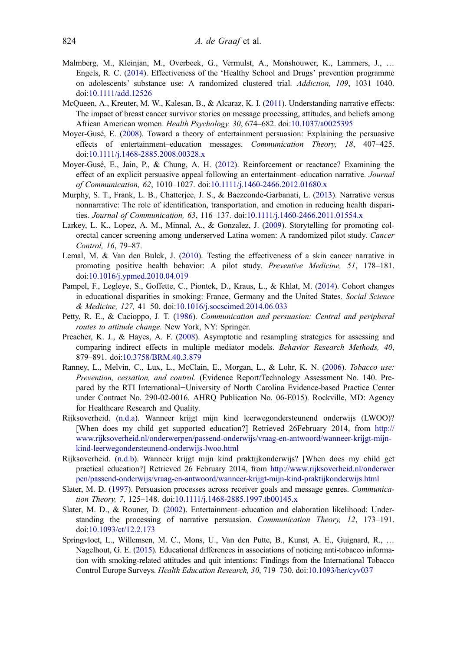- <span id="page-15-0"></span>Malmberg, M., Kleinjan, M., Overbeek, G., Vermulst, A., Monshouwer, K., Lammers, J., … Engels, R. C. [\(2014\)](#page-6-0). Effectiveness of the 'Healthy School and Drugs' prevention programme on adolescents' substance use: A randomized clustered trial. Addiction, 109, 1031–1040. doi:[10.1111/add.12526](https://doi.org/10.1111/add.12526)
- McQueen, A., Kreuter, M. W., Kalesan, B., & Alcaraz, K. I. ([2011](#page-3-0)). Understanding narrative effects: The impact of breast cancer survivor stories on message processing, attitudes, and beliefs among African American women. Health Psychology, 30, 674–682. doi[:10.1037/a0025395](https://doi.org/10.1037/a0025395)
- Moyer-Gusé, E. [\(2008](#page-2-0)). Toward a theory of entertainment persuasion: Explaining the persuasive effects of entertainment–education messages. Communication Theory, 18, 407–425. doi:[10.1111/j.1468-2885.2008.00328.x](https://doi.org/10.1111/j.1468-2885.2008.00328.x)
- Moyer-Gusé, E., Jain, P., & Chung, A. H. [\(2012](#page-13-0)). Reinforcement or reactance? Examining the effect of an explicit persuasive appeal following an entertainment–education narrative. Journal of Communication, 62, 1010–1027. doi:[10.1111/j.1460-2466.2012.01680.x](https://doi.org/10.1111/j.1460-2466.2012.01680.x)
- Murphy, S. T., Frank, L. B., Chatterjee, J. S., & Baezconde-Garbanati, L. ([2013\)](#page-2-0). Narrative versus nonnarrative: The role of identification, transportation, and emotion in reducing health disparities. Journal of Communication, 63, 116–137. doi:[10.1111/j.1460-2466.2011.01554.x](https://doi.org/10.1111/j.1460-2466.2011.01554.x)
- Larkey, L. K., Lopez, A. M., Minnal, A., & Gonzalez, J. [\(2009](#page-4-0)). Storytelling for promoting colorectal cancer screening among underserved Latina women: A randomized pilot study. Cancer Control, 16, 79–87.
- Lemal, M. & Van den Bulck, J. [\(2010](#page-2-0)). Testing the effectiveness of a skin cancer narrative in promoting positive health behavior: A pilot study. Preventive Medicine, 51, 178–181. doi:[10.1016/j.ypmed.2010.04.019](https://doi.org/10.1016/j.ypmed.2010.04.019)
- Pampel, F., Legleye, S., Goffette, C., Piontek, D., Kraus, L., & Khlat, M. [\(2014](#page-1-0)). Cohort changes in educational disparities in smoking: France, Germany and the United States. Social Science & Medicine, 127, 41–50. doi[:10.1016/j.socscimed.2014.06.033](https://doi.org/10.1016/j.socscimed.2014.06.033)
- Petty, R. E., & Cacioppo, J. T. [\(1986](#page-4-0)). Communication and persuasion: Central and peripheral routes to attitude change. New York, NY: Springer.
- Preacher, K. J., & Hayes, A. F. ([2008\)](#page-10-0). Asymptotic and resampling strategies for assessing and comparing indirect effects in multiple mediator models. Behavior Research Methods, 40, 879–891. doi[:10.3758/BRM.40.3.879](https://doi.org/10.3758/BRM.40.3.879)
- Ranney, L., Melvin, C., Lux, L., McClain, E., Morgan, L., & Lohr, K. N. ([2006\)](#page-2-0). Tobacco use: Prevention, cessation, and control. (Evidence Report/Technology Assessment No. 140. Prepared by the RTI International−University of North Carolina Evidence-based Practice Center under Contract No. 290-02-0016. AHRQ Publication No. 06-E015). Rockville, MD: Agency for Healthcare Research and Quality.
- Rijksoverheid. [\(n.d.a\)](#page-5-0). Wanneer krijgt mijn kind leerwegondersteunend onderwijs (LWOO)? [When does my child get supported education?] Retrieved 26February 2014, from [http://](http://www.rijksoverheid.nl/onderwerpen/passend-onderwijs/vraag-en-antwoord/wanneer-krijgt-mijn-kind-leerwegondersteunend-onderwijs-lwoo.html) [www.rijksoverheid.nl/onderwerpen/passend-onderwijs/vraag-en-antwoord/wanneer-krijgt-mijn](http://www.rijksoverheid.nl/onderwerpen/passend-onderwijs/vraag-en-antwoord/wanneer-krijgt-mijn-kind-leerwegondersteunend-onderwijs-lwoo.html)[kind-leerwegondersteunend-onderwijs-lwoo.html](http://www.rijksoverheid.nl/onderwerpen/passend-onderwijs/vraag-en-antwoord/wanneer-krijgt-mijn-kind-leerwegondersteunend-onderwijs-lwoo.html)
- Rijksoverheid. ([n.d.b\)](#page-5-0). Wanneer krijgt mijn kind praktijkonderwijs? [When does my child get practical education?] Retrieved 26 February 2014, from [http://www.rijksoverheid.nl/onderwer](http://www.rijksoverheid.nl/onderwerpen/passend-onderwijs/vraag-en-antwoord/wanneer-krijgt-mijn-kind-praktijkonderwijs.html) [pen/passend-onderwijs/vraag-en-antwoord/wanneer-krijgt-mijn-kind-praktijkonderwijs.html](http://www.rijksoverheid.nl/onderwerpen/passend-onderwijs/vraag-en-antwoord/wanneer-krijgt-mijn-kind-praktijkonderwijs.html)
- Slater, M. D. [\(1997](#page-3-0)). Persuasion processes across receiver goals and message genres. Communication Theory, 7, 125–148. doi:[10.1111/j.1468-2885.1997.tb00145.x](https://doi.org/10.1111/j.1468-2885.1997.tb00145.x)
- Slater, M. D., & Rouner, D. [\(2002](#page-2-0)). Entertainment–education and elaboration likelihood: Understanding the processing of narrative persuasion. Communication Theory, 12, 173–191. doi:[10.1093/ct/12.2.173](https://doi.org/10.1093/ct/12.2.173)
- Springvloet, L., Willemsen, M. C., Mons, U., Van den Putte, B., Kunst, A. E., Guignard, R., … Nagelhout, G. E. ([2015](#page-11-0)). Educational differences in associations of noticing anti-tobacco information with smoking-related attitudes and quit intentions: Findings from the International Tobacco Control Europe Surveys. Health Education Research, 30, 719–730. doi:[10.1093/her/cyv037](https://doi.org/10.1093/her/cyv037)